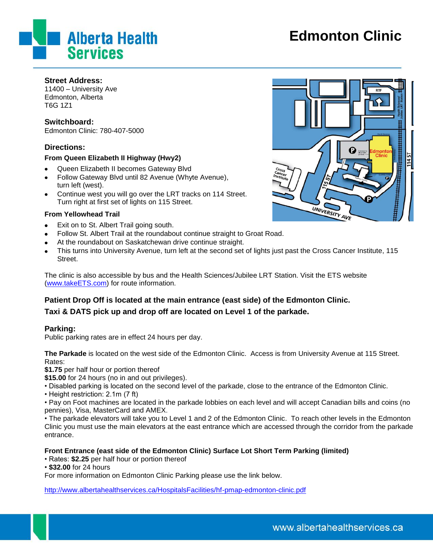

# **Edmonton Clinic**

#### **Street Address:**

11400 – University Ave Edmonton, Alberta T6G 1Z1

## **Switchboard:**

Edmonton Clinic: 780-407-5000

# **Directions:**

#### **From Queen Elizabeth II Highway (Hwy2)**

- Queen Elizabeth II becomes Gateway Blvd  $\bullet$
- Follow Gateway Blvd until 82 Avenue (Whyte Avenue), turn left (west).
- Continue west you will go over the LRT tracks on 114 Street.  $\bullet$ Turn right at first set of lights on 115 Street.

#### **From Yellowhead Trail**

- Exit on to St. Albert Trail going south.
- Follow St. Albert Trail at the roundabout continue straight to Groat Road.  $\bullet$
- At the roundabout on Saskatchewan drive continue straight.
- This turns into University Avenue, turn left at the second set of lights just past the Cross Cancer Institute, 115  $\bullet$ Street.

The clinic is also accessible by bus and the Health Sciences/Jubilee LRT Station. Visit the ETS website [\(www.takeETS.com\)](http://www.takeets.com/) for route information.

# **Patient Drop Off is located at the main entrance (east side) of the Edmonton Clinic.**

# **Taxi & DATS pick up and drop off are located on Level 1 of the parkade.**

## **Parking:**

Public parking rates are in effect 24 hours per day.

**The Parkade** is located on the west side of the Edmonton Clinic. Access is from University Avenue at 115 Street. Rates:

**\$1.75** per half hour or portion thereof

**\$15.00** for 24 hours (no in and out privileges).

- Disabled parking is located on the second level of the parkade, close to the entrance of the Edmonton Clinic.
- Height restriction: 2.1m (7 ft)

• Pay on Foot machines are located in the parkade lobbies on each level and will accept Canadian bills and coins (no pennies), Visa, MasterCard and AMEX.

• The parkade elevators will take you to Level 1 and 2 of the Edmonton Clinic. To reach other levels in the Edmonton Clinic you must use the main elevators at the east entrance which are accessed through the corridor from the parkade entrance.

## **Front Entrance (east side of the Edmonton Clinic) Surface Lot Short Term Parking (limited)**

• Rates: **\$2.25** per half hour or portion thereof

• **\$32.00** for 24 hours

For more information on Edmonton Clinic Parking please use the link below.

<http://www.albertahealthservices.ca/HospitalsFacilities/hf-pmap-edmonton-clinic.pdf>